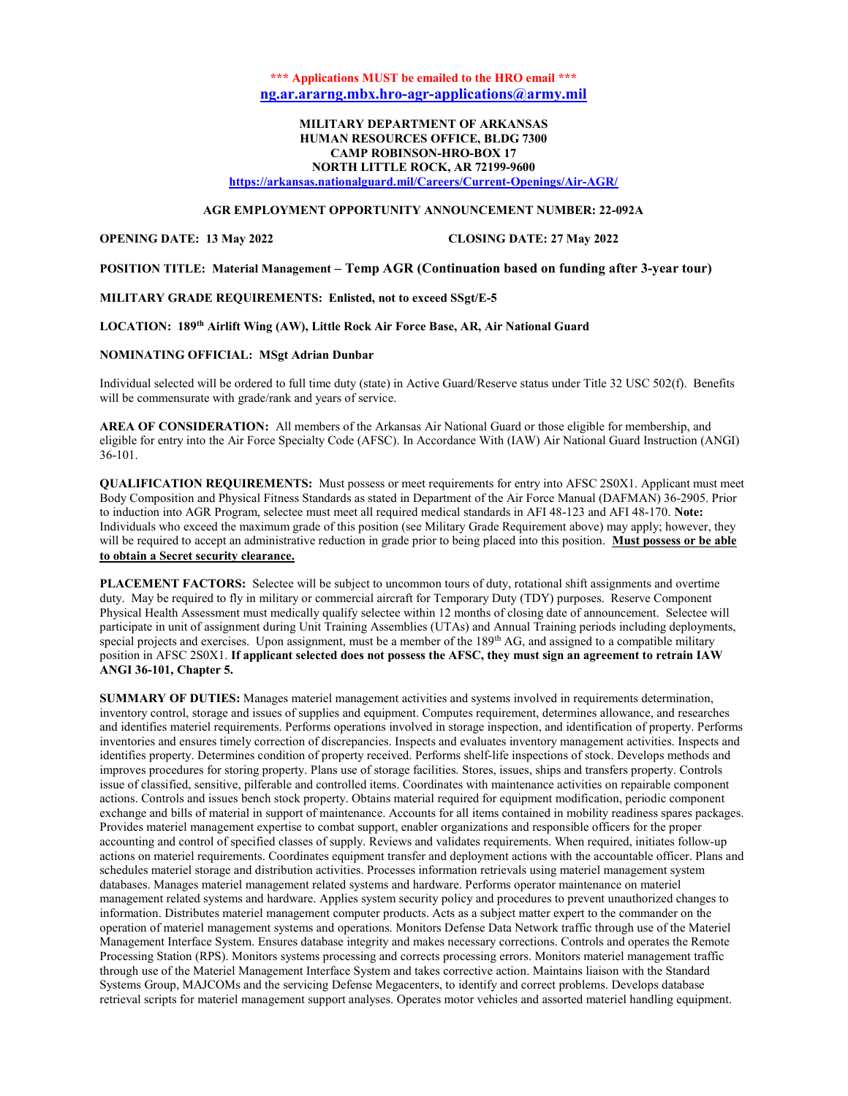# \*\*\* Applications MUST be emailed to the HRO email \*\*\* ng.ar.ararng.mbx.hro-agr-applications@army.mil

## MILITARY DEPARTMENT OF ARKANSAS HUMAN RESOURCES OFFICE, BLDG 7300 CAMP ROBINSON-HRO-BOX 17 NORTH LITTLE ROCK, AR 72199-9600

https://arkansas.nationalguard.mil/Careers/Current-Openings/Air-AGR/

## AGR EMPLOYMENT OPPORTUNITY ANNOUNCEMENT NUMBER: 22-092A

#### OPENING DATE: 13 May 2022 CLOSING DATE: 27 May 2022

POSITION TITLE: Material Management – Temp AGR (Continuation based on funding after 3-year tour)

### MILITARY GRADE REQUIREMENTS: Enlisted, not to exceed SSgt/E-5

#### LOCATION: 189th Airlift Wing (AW), Little Rock Air Force Base, AR, Air National Guard

#### NOMINATING OFFICIAL: MSgt Adrian Dunbar

Individual selected will be ordered to full time duty (state) in Active Guard/Reserve status under Title 32 USC 502(f). Benefits will be commensurate with grade/rank and years of service.

AREA OF CONSIDERATION: All members of the Arkansas Air National Guard or those eligible for membership, and eligible for entry into the Air Force Specialty Code (AFSC). In Accordance With (IAW) Air National Guard Instruction (ANGI) 36-101.

QUALIFICATION REQUIREMENTS: Must possess or meet requirements for entry into AFSC 2S0X1. Applicant must meet Body Composition and Physical Fitness Standards as stated in Department of the Air Force Manual (DAFMAN) 36-2905. Prior to induction into AGR Program, selectee must meet all required medical standards in AFI 48-123 and AFI 48-170. Note: Individuals who exceed the maximum grade of this position (see Military Grade Requirement above) may apply; however, they will be required to accept an administrative reduction in grade prior to being placed into this position. Must possess or be able to obtain a Secret security clearance.

PLACEMENT FACTORS: Selectee will be subject to uncommon tours of duty, rotational shift assignments and overtime duty. May be required to fly in military or commercial aircraft for Temporary Duty (TDY) purposes. Reserve Component Physical Health Assessment must medically qualify selectee within 12 months of closing date of announcement. Selectee will participate in unit of assignment during Unit Training Assemblies (UTAs) and Annual Training periods including deployments, special projects and exercises. Upon assignment, must be a member of the 189<sup>th</sup> AG, and assigned to a compatible military position in AFSC 2S0X1. If applicant selected does not possess the AFSC, they must sign an agreement to retrain IAW ANGI 36-101, Chapter 5.

SUMMARY OF DUTIES: Manages materiel management activities and systems involved in requirements determination, inventory control, storage and issues of supplies and equipment. Computes requirement, determines allowance, and researches and identifies materiel requirements. Performs operations involved in storage inspection, and identification of property. Performs inventories and ensures timely correction of discrepancies. Inspects and evaluates inventory management activities. Inspects and identifies property. Determines condition of property received. Performs shelf-life inspections of stock. Develops methods and improves procedures for storing property. Plans use of storage facilities. Stores, issues, ships and transfers property. Controls issue of classified, sensitive, pilferable and controlled items. Coordinates with maintenance activities on repairable component actions. Controls and issues bench stock property. Obtains material required for equipment modification, periodic component exchange and bills of material in support of maintenance. Accounts for all items contained in mobility readiness spares packages. Provides materiel management expertise to combat support, enabler organizations and responsible officers for the proper accounting and control of specified classes of supply. Reviews and validates requirements. When required, initiates follow-up actions on materiel requirements. Coordinates equipment transfer and deployment actions with the accountable officer. Plans and schedules materiel storage and distribution activities. Processes information retrievals using materiel management system databases. Manages materiel management related systems and hardware. Performs operator maintenance on materiel management related systems and hardware. Applies system security policy and procedures to prevent unauthorized changes to information. Distributes materiel management computer products. Acts as a subject matter expert to the commander on the operation of materiel management systems and operations. Monitors Defense Data Network traffic through use of the Materiel Management Interface System. Ensures database integrity and makes necessary corrections. Controls and operates the Remote Processing Station (RPS). Monitors systems processing and corrects processing errors. Monitors materiel management traffic through use of the Materiel Management Interface System and takes corrective action. Maintains liaison with the Standard Systems Group, MAJCOMs and the servicing Defense Megacenters, to identify and correct problems. Develops database retrieval scripts for materiel management support analyses. Operates motor vehicles and assorted materiel handling equipment.